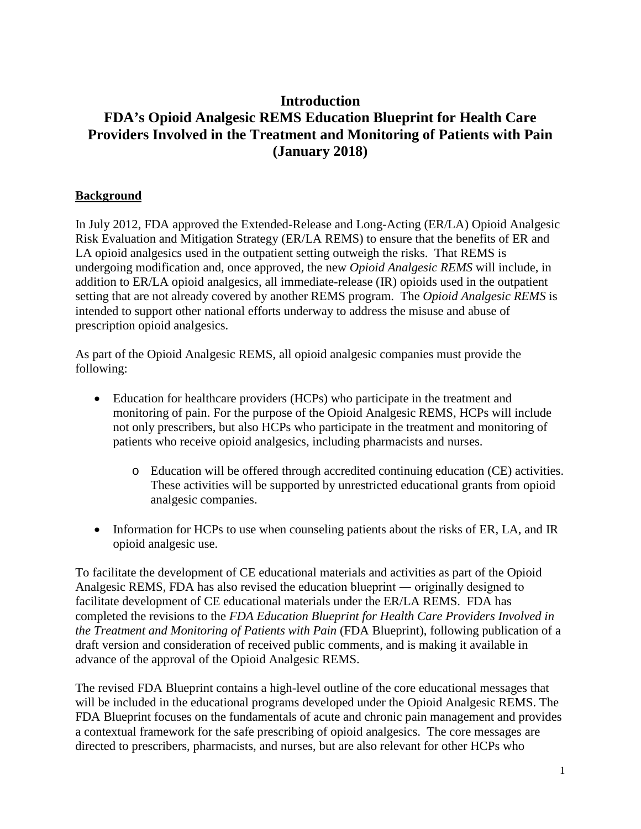# **Introduction FDA's Opioid Analgesic REMS Education Blueprint for Health Care Providers Involved in the Treatment and Monitoring of Patients with Pain (January 2018)**

#### **Background**

In July 2012, FDA approved the Extended-Release and Long-Acting (ER/LA) Opioid Analgesic Risk Evaluation and Mitigation Strategy (ER/LA REMS) to ensure that the benefits of ER and LA opioid analgesics used in the outpatient setting outweigh the risks. That REMS is undergoing modification and, once approved*,* the new *Opioid Analgesic REMS* will include, in addition to ER/LA opioid analgesics, all immediate-release (IR) opioids used in the outpatient setting that are not already covered by another REMS program. The *Opioid Analgesic REMS* is intended to support other national efforts underway to address the misuse and abuse of prescription opioid analgesics.

As part of the Opioid Analgesic REMS, all opioid analgesic companies must provide the following:

- Education for healthcare providers (HCPs) who participate in the treatment and monitoring of pain. For the purpose of the Opioid Analgesic REMS, HCPs will include not only prescribers, but also HCPs who participate in the treatment and monitoring of patients who receive opioid analgesics, including pharmacists and nurses.
	- o Education will be offered through accredited continuing education (CE) activities. These activities will be supported by unrestricted educational grants from opioid analgesic companies.
- Information for HCPs to use when counseling patients about the risks of ER, LA, and IR opioid analgesic use.

To facilitate the development of CE educational materials and activities as part of the Opioid Analgesic REMS, FDA has also revised the education blueprint ― originally designed to facilitate development of CE educational materials under the ER/LA REMS. FDA has completed the revisions to the *FDA Education Blueprint for Health Care Providers Involved in the Treatment and Monitoring of Patients with Pain* (FDA Blueprint), following publication of a draft version and consideration of received public comments, and is making it available in advance of the approval of the Opioid Analgesic REMS.

The revised FDA Blueprint contains a high-level outline of the core educational messages that will be included in the educational programs developed under the Opioid Analgesic REMS. The FDA Blueprint focuses on the fundamentals of acute and chronic pain management and provides a contextual framework for the safe prescribing of opioid analgesics. The core messages are directed to prescribers, pharmacists, and nurses, but are also relevant for other HCPs who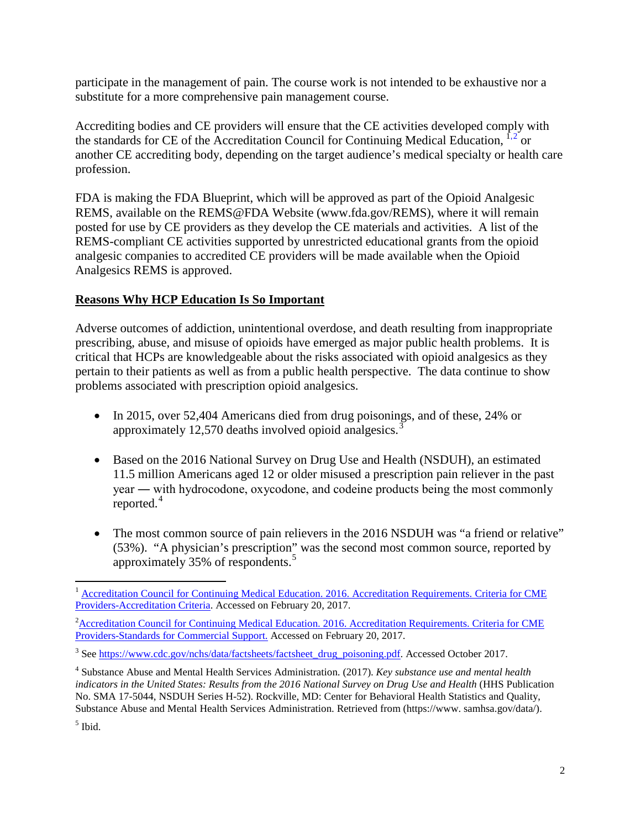participate in the management of pain. The course work is not intended to be exhaustive nor a substitute for a more comprehensive pain management course.

Accrediting bodies and CE providers will ensure that the CE activities developed comply with the standards for CE of the Accreditation Council for Continuing Medical Education,  $\frac{1}{1}$  $\frac{1}{1}$  $\frac{1}{1}$  or another CE accrediting body, depending on the target audience's medical specialty or health care profession.

FDA is making the FDA Blueprint, which will be approved as part of the Opioid Analgesic REMS, available on the REMS@FDA Website (www.fda.gov/REMS), where it will remain posted for use by CE providers as they develop the CE materials and activities. A list of the REMS-compliant CE activities supported by unrestricted educational grants from the opioid analgesic companies to accredited CE providers will be made available when the Opioid Analgesics REMS is approved.

#### **Reasons Why HCP Education Is So Important**

Adverse outcomes of addiction, unintentional overdose, and death resulting from inappropriate prescribing, abuse, and misuse of opioids have emerged as major public health problems. It is critical that HCPs are knowledgeable about the risks associated with opioid analgesics as they pertain to their patients as well as from a public health perspective. The data continue to show problems associated with prescription opioid analgesics.

- In 2015, over 52,404 Americans died from drug poisonings, and of these, 24% or approximately 12,570 deaths involved opioid analgesics. $\overline{3}$  $\overline{3}$  $\overline{3}$
- Based on the 2016 National Survey on Drug Use and Health (NSDUH), an estimated 11.5 million Americans aged 12 or older misused a prescription pain reliever in the past year ― with hydrocodone, oxycodone, and codeine products being the most commonly reported.<sup>[4](#page-1-3)</sup>
- The most common source of pain relievers in the 2016 NSDUH was "a friend or relative" (53%). "A physician's prescription" was the second most common source, reported by approximately 35% of respondents.[5](#page-1-4)

<span id="page-1-3"></span><sup>4</sup> Substance Abuse and Mental Health Services Administration. (2017). *Key substance use and mental health indicators in the United States: Results from the 2016 National Survey on Drug Use and Health* (HHS Publication No. SMA 17-5044, NSDUH Series H-52). Rockville, MD: Center for Behavioral Health Statistics and Quality, Substance Abuse and Mental Health Services Administration. Retrieved from (https://www. samhsa.gov/data/).

<span id="page-1-4"></span> $<sup>5</sup>$  Ibid.</sup>

<span id="page-1-0"></span><sup>&</sup>lt;sup>1</sup> Accreditation Council for Continuing Medical Education. 2016. Accreditation Requirements. Criteria for CME [Providers-Accreditation Criteria.](http://www.accme.org/requirements/accreditation-requirements-cme-providers/accreditation-criteria) Accessed on February 20, 2017.

<span id="page-1-1"></span><sup>&</sup>lt;sup>2</sup> Accreditation Council for Continuing Medical Education. 2016. Accreditation Requirements. Criteria for CME [Providers-Standards for Commercial Support.](http://www.accme.org/requirements/accreditation-requirements-cme-providers/standards-for-commercial-support) Accessed on February 20, 2017.

<span id="page-1-2"></span><sup>&</sup>lt;sup>3</sup> Se[e https://www.cdc.gov/nchs/data/factsheets/factsheet\\_drug\\_poisoning.pdf.](https://www.cdc.gov/nchs/data/factsheets/factsheet_drug_poisoning.pdf) Accessed October 2017.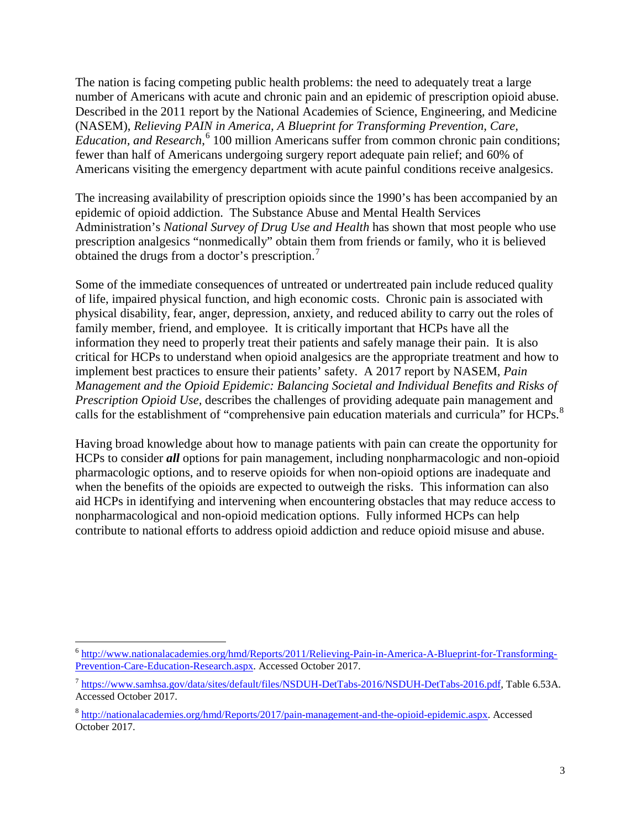The nation is facing competing public health problems: the need to adequately treat a large number of Americans with acute and chronic pain and an epidemic of prescription opioid abuse. Described in the 2011 report by the National Academies of Science, Engineering, and Medicine (NASEM), *Relieving PAIN in America, A Blueprint for Transforming Prevention, Care, Education, and Research*, [6](#page-2-0) 100 million Americans suffer from common chronic pain conditions; fewer than half of Americans undergoing surgery report adequate pain relief; and 60% of Americans visiting the emergency department with acute painful conditions receive analgesics.

The increasing availability of prescription opioids since the 1990's has been accompanied by an epidemic of opioid addiction. The Substance Abuse and Mental Health Services Administration's *National Survey of Drug Use and Health* has shown that most people who use prescription analgesics "nonmedically" obtain them from friends or family, who it is believed obtained the drugs from a doctor's prescription.<sup>[7](#page-2-1)</sup>

Some of the immediate consequences of untreated or undertreated pain include reduced quality of life, impaired physical function, and high economic costs. Chronic pain is associated with physical disability, fear, anger, depression, anxiety, and reduced ability to carry out the roles of family member, friend, and employee. It is critically important that HCPs have all the information they need to properly treat their patients and safely manage their pain. It is also critical for HCPs to understand when opioid analgesics are the appropriate treatment and how to implement best practices to ensure their patients' safety. A 2017 report by NASEM, *Pain Management and the Opioid Epidemic: Balancing Societal and Individual Benefits and Risks of Prescription Opioid Use,* describes the challenges of providing adequate pain management and calls for the establishment of "comprehensive pain education materials and curricula" for HCPs.<sup>[8](#page-2-2)</sup>

Having broad knowledge about how to manage patients with pain can create the opportunity for HCPs to consider *all* options for pain management, including nonpharmacologic and non-opioid pharmacologic options, and to reserve opioids for when non-opioid options are inadequate and when the benefits of the opioids are expected to outweigh the risks. This information can also aid HCPs in identifying and intervening when encountering obstacles that may reduce access to nonpharmacological and non-opioid medication options. Fully informed HCPs can help contribute to national efforts to address opioid addiction and reduce opioid misuse and abuse.

<span id="page-2-0"></span> <sup>6</sup> [http://www.nationalacademies.org/hmd/Reports/2011/Relieving-Pain-in-America-A-Blueprint-for-Transforming-](http://www.nationalacademies.org/hmd/Reports/2011/Relieving-Pain-in-America-A-Blueprint-for-Transforming-Prevention-Care-Education-Research.aspx)[Prevention-Care-Education-Research.aspx.](http://www.nationalacademies.org/hmd/Reports/2011/Relieving-Pain-in-America-A-Blueprint-for-Transforming-Prevention-Care-Education-Research.aspx) Accessed October 2017.

<span id="page-2-1"></span><sup>7</sup> [https://www.samhsa.gov/data/sites/default/files/NSDUH-DetTabs-2016/NSDUH-DetTabs-2016.pdf,](https://www.samhsa.gov/data/sites/default/files/NSDUH-DetTabs-2016/NSDUH-DetTabs-2016.pdf) Table 6.53A. Accessed October 2017.

<span id="page-2-2"></span><sup>8</sup> [http://nationalacademies.org/hmd/Reports/2017/pain-management-and-the-opioid-epidemic.aspx.](http://nationalacademies.org/hmd/Reports/2017/pain-management-and-the-opioid-epidemic.aspx) Accessed October 2017.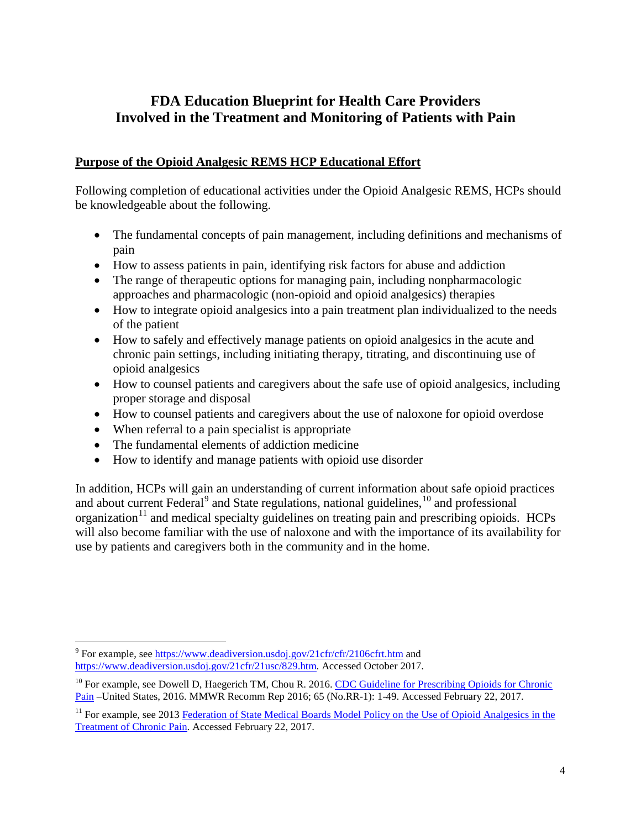# **FDA Education Blueprint for Health Care Providers Involved in the Treatment and Monitoring of Patients with Pain**

#### **Purpose of the Opioid Analgesic REMS HCP Educational Effort**

Following completion of educational activities under the Opioid Analgesic REMS, HCPs should be knowledgeable about the following.

- The fundamental concepts of pain management, including definitions and mechanisms of pain
- How to assess patients in pain, identifying risk factors for abuse and addiction
- The range of therapeutic options for managing pain, including nonpharmacologic approaches and pharmacologic (non-opioid and opioid analgesics) therapies
- How to integrate opioid analgesics into a pain treatment plan individualized to the needs of the patient
- How to safely and effectively manage patients on opioid analgesics in the acute and chronic pain settings, including initiating therapy, titrating, and discontinuing use of opioid analgesics
- How to counsel patients and caregivers about the safe use of opioid analgesics, including proper storage and disposal
- How to counsel patients and caregivers about the use of naloxone for opioid overdose
- When referral to a pain specialist is appropriate
- The fundamental elements of addiction medicine
- How to identify and manage patients with opioid use disorder

In addition, HCPs will gain an understanding of current information about safe opioid practices and about current Federal<sup>[9](#page-3-0)</sup> and State regulations, national guidelines, <sup>[10](#page-3-1)</sup> and professional organization<sup>[11](#page-3-2)</sup> and medical specialty guidelines on treating pain and prescribing opioids. HCPs will also become familiar with the use of naloxone and with the importance of its availability for use by patients and caregivers both in the community and in the home.

<span id="page-3-0"></span> $9$  For example, see<https://www.deadiversion.usdoj.gov/21cfr/cfr/2106cfrt.htm> and [https://www.deadiversion.usdoj.gov/21cfr/21usc/829.htm.](https://www.deadiversion.usdoj.gov/21cfr/21usc/829.htm) Accessed October 2017.

<span id="page-3-1"></span> $10$  For example, see Dowell D, Haegerich TM, Chou R. 2016. CDC Guideline for Prescribing Opioids for Chronic [Pain](https://www.cdc.gov/mmwr/volumes/65/rr/rr6501e1.htm) –United States, 2016. MMWR Recomm Rep 2016; 65 (No.RR-1): 1-49. Accessed February 22, 2017.

<span id="page-3-2"></span><sup>&</sup>lt;sup>11</sup> For example, see 2013 Federation of State Medical Boards Model Policy on the Use of Opioid Analgesics in the [Treatment of Chronic Pain.](http://www.fsmb.org/Media/Default/PDF/FSMB/Advocacy/pain_policy_july2013.pdf) Accessed February 22, 2017.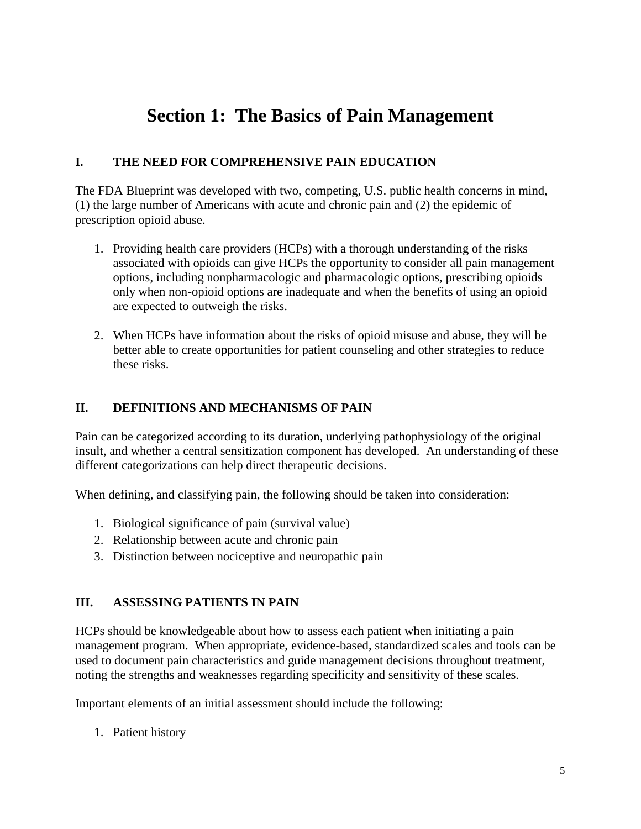# **Section 1: The Basics of Pain Management**

#### **I. THE NEED FOR COMPREHENSIVE PAIN EDUCATION**

The FDA Blueprint was developed with two, competing, U.S. public health concerns in mind, (1) the large number of Americans with acute and chronic pain and (2) the epidemic of prescription opioid abuse.

- 1. Providing health care providers (HCPs) with a thorough understanding of the risks associated with opioids can give HCPs the opportunity to consider all pain management options, including nonpharmacologic and pharmacologic options, prescribing opioids only when non-opioid options are inadequate and when the benefits of using an opioid are expected to outweigh the risks.
- 2. When HCPs have information about the risks of opioid misuse and abuse, they will be better able to create opportunities for patient counseling and other strategies to reduce these risks.

#### **II. DEFINITIONS AND MECHANISMS OF PAIN**

Pain can be categorized according to its duration, underlying pathophysiology of the original insult, and whether a central sensitization component has developed. An understanding of these different categorizations can help direct therapeutic decisions.

When defining, and classifying pain, the following should be taken into consideration:

- 1. Biological significance of pain (survival value)
- 2. Relationship between acute and chronic pain
- 3. Distinction between nociceptive and neuropathic pain

#### **III. ASSESSING PATIENTS IN PAIN**

HCPs should be knowledgeable about how to assess each patient when initiating a pain management program. When appropriate, evidence-based, standardized scales and tools can be used to document pain characteristics and guide management decisions throughout treatment, noting the strengths and weaknesses regarding specificity and sensitivity of these scales.

Important elements of an initial assessment should include the following:

1. Patient history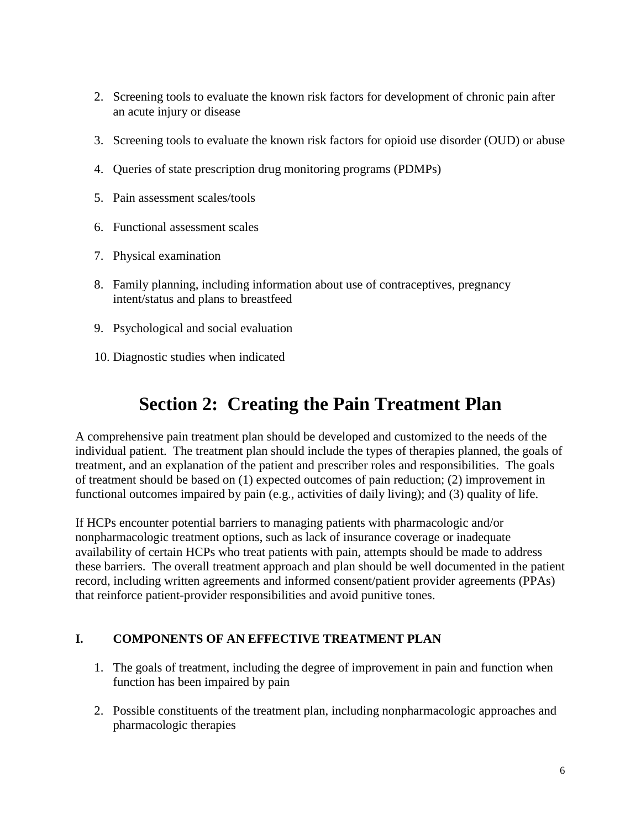- 2. Screening tools to evaluate the known risk factors for development of chronic pain after an acute injury or disease
- 3. Screening tools to evaluate the known risk factors for opioid use disorder (OUD) or abuse
- 4. Queries of state prescription drug monitoring programs (PDMPs)
- 5. Pain assessment scales/tools
- 6. Functional assessment scales
- 7. Physical examination
- 8. Family planning, including information about use of contraceptives, pregnancy intent/status and plans to breastfeed
- 9. Psychological and social evaluation
- 10. Diagnostic studies when indicated

# **Section 2: Creating the Pain Treatment Plan**

A comprehensive pain treatment plan should be developed and customized to the needs of the individual patient. The treatment plan should include the types of therapies planned, the goals of treatment, and an explanation of the patient and prescriber roles and responsibilities. The goals of treatment should be based on (1) expected outcomes of pain reduction; (2) improvement in functional outcomes impaired by pain (e.g., activities of daily living); and (3) quality of life.

If HCPs encounter potential barriers to managing patients with pharmacologic and/or nonpharmacologic treatment options, such as lack of insurance coverage or inadequate availability of certain HCPs who treat patients with pain, attempts should be made to address these barriers. The overall treatment approach and plan should be well documented in the patient record, including written agreements and informed consent/patient provider agreements (PPAs) that reinforce patient-provider responsibilities and avoid punitive tones.

## **I. COMPONENTS OF AN EFFECTIVE TREATMENT PLAN**

- 1. The goals of treatment, including the degree of improvement in pain and function when function has been impaired by pain
- 2. Possible constituents of the treatment plan, including nonpharmacologic approaches and pharmacologic therapies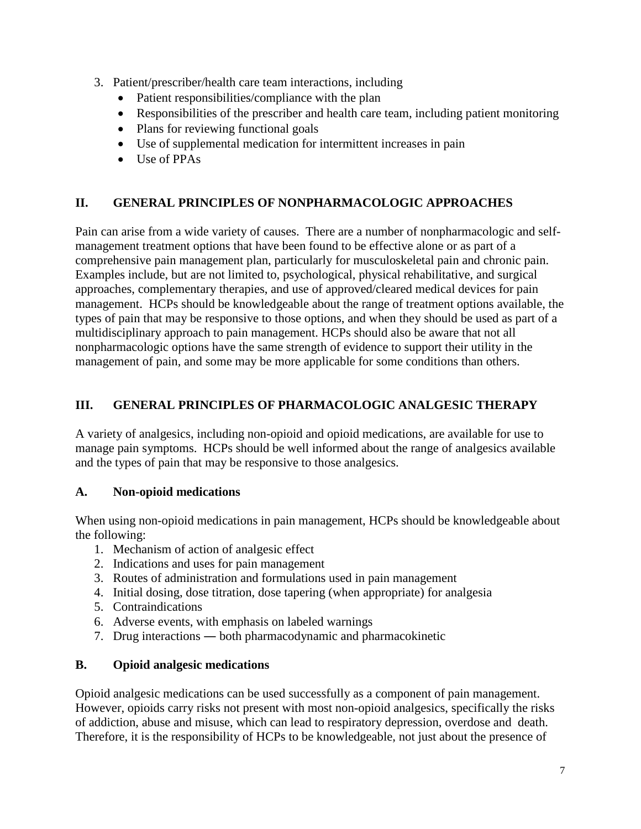- 3. Patient/prescriber/health care team interactions, including
	- Patient responsibilities/compliance with the plan
	- Responsibilities of the prescriber and health care team, including patient monitoring
	- Plans for reviewing functional goals
	- Use of supplemental medication for intermittent increases in pain
	- Use of PPAs

### **II. GENERAL PRINCIPLES OF NONPHARMACOLOGIC APPROACHES**

Pain can arise from a wide variety of causes. There are a number of nonpharmacologic and selfmanagement treatment options that have been found to be effective alone or as part of a comprehensive pain management plan, particularly for musculoskeletal pain and chronic pain. Examples include, but are not limited to, psychological, physical rehabilitative, and surgical approaches, complementary therapies, and use of approved/cleared medical devices for pain management. HCPs should be knowledgeable about the range of treatment options available, the types of pain that may be responsive to those options, and when they should be used as part of a multidisciplinary approach to pain management. HCPs should also be aware that not all nonpharmacologic options have the same strength of evidence to support their utility in the management of pain, and some may be more applicable for some conditions than others.

### **III. GENERAL PRINCIPLES OF PHARMACOLOGIC ANALGESIC THERAPY**

A variety of analgesics, including non-opioid and opioid medications, are available for use to manage pain symptoms. HCPs should be well informed about the range of analgesics available and the types of pain that may be responsive to those analgesics.

#### **A. Non-opioid medications**

When using non-opioid medications in pain management, HCPs should be knowledgeable about the following:

- 1. Mechanism of action of analgesic effect
- 2. Indications and uses for pain management
- 3. Routes of administration and formulations used in pain management
- 4. Initial dosing, dose titration, dose tapering (when appropriate) for analgesia
- 5. Contraindications
- 6. Adverse events, with emphasis on labeled warnings
- 7. Drug interactions ― both pharmacodynamic and pharmacokinetic

## **B. Opioid analgesic medications**

Opioid analgesic medications can be used successfully as a component of pain management. However, opioids carry risks not present with most non-opioid analgesics, specifically the risks of addiction, abuse and misuse, which can lead to respiratory depression, overdose and death. Therefore, it is the responsibility of HCPs to be knowledgeable, not just about the presence of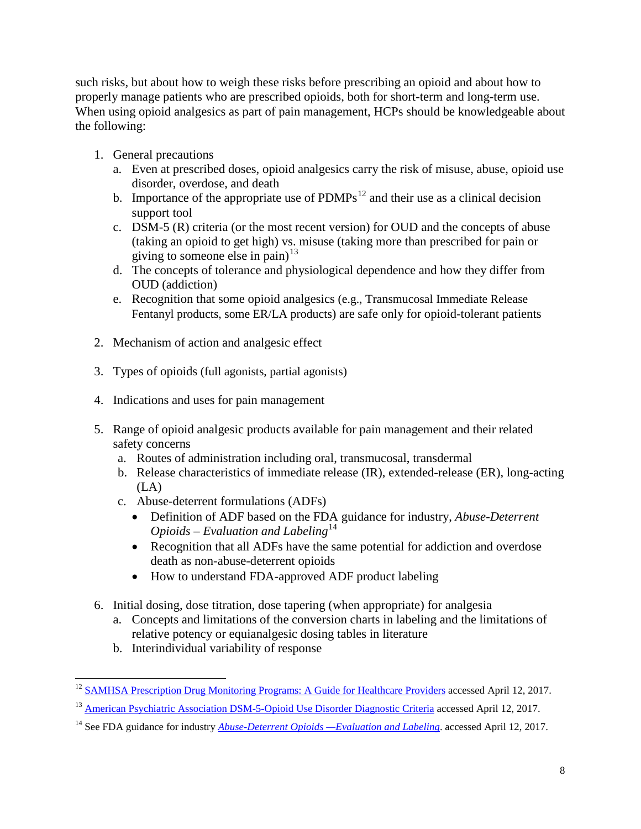such risks, but about how to weigh these risks before prescribing an opioid and about how to properly manage patients who are prescribed opioids, both for short-term and long-term use. When using opioid analgesics as part of pain management, HCPs should be knowledgeable about the following:

- 1. General precautions
	- a. Even at prescribed doses, opioid analgesics carry the risk of misuse, abuse, opioid use disorder, overdose, and death
	- b. Importance of the appropriate use of  $\text{PDMPs}^{12}$  $\text{PDMPs}^{12}$  $\text{PDMPs}^{12}$  and their use as a clinical decision support tool
	- c. DSM-5 (R) criteria (or the most recent version) for OUD and the concepts of abuse (taking an opioid to get high) vs. misuse (taking more than prescribed for pain or giving to someone else in pain) $^{13}$  $^{13}$  $^{13}$
	- d. The concepts of tolerance and physiological dependence and how they differ from OUD (addiction)
	- e. Recognition that some opioid analgesics (e.g., Transmucosal Immediate Release Fentanyl products, some ER/LA products) are safe only for opioid-tolerant patients
- 2. Mechanism of action and analgesic effect
- 3. Types of opioids (full agonists, partial agonists)
- 4. Indications and uses for pain management
- 5. Range of opioid analgesic products available for pain management and their related safety concerns
	- a. Routes of administration including oral, transmucosal, transdermal
	- b. Release characteristics of immediate release (IR), extended-release (ER), long-acting (LA)
	- c. Abuse-deterrent formulations (ADFs)
		- Definition of ADF based on the FDA guidance for industry, *Abuse-Deterrent Opioids – Evaluation and Labeling*<sup>[14](#page-7-2)</sup>
		- Recognition that all ADFs have the same potential for addiction and overdose death as non-abuse-deterrent opioids
		- How to understand FDA-approved ADF product labeling
- 6. Initial dosing, dose titration, dose tapering (when appropriate) for analgesia
	- a. Concepts and limitations of the conversion charts in labeling and the limitations of relative potency or equianalgesic dosing tables in literature
	- b. Interindividual variability of response

<span id="page-7-0"></span><sup>&</sup>lt;sup>12</sup> [SAMHSA Prescription Drug Monitoring Programs: A Guide for Healthcare Providers](http://store.samhsa.gov/shin/content/SMA16-4997/SMA16-4997.pdf) accessed April 12, 2017.

<span id="page-7-1"></span><sup>&</sup>lt;sup>13</sup> [American Psychiatric Association DSM-5-Opioid Use Disorder Diagnostic Criteria](http://pcssmat.org/wp-content/uploads/2014/02/5B-DSM-5-Opioid-Use-Disorder-Diagnostic-Criteria.pdf) accessed April 12, 2017.

<span id="page-7-2"></span><sup>14</sup> See FDA guidance for industry *[Abuse-Deterrent Opioids —Evaluation and Labeling](https://www.fda.gov/downloads/Drugs/Guidances/UCM334743.pdf)*. accessed April 12, 2017.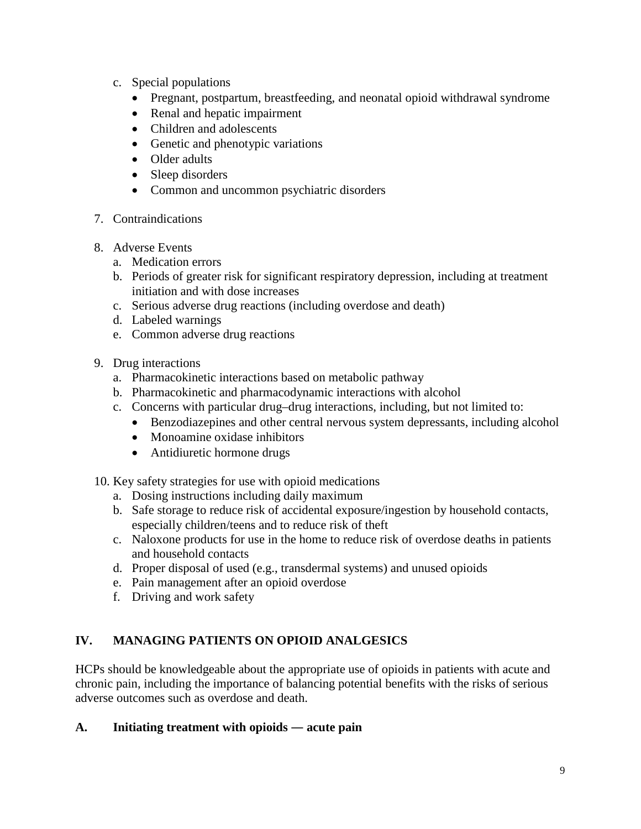- c. Special populations
	- Pregnant, postpartum, breastfeeding, and neonatal opioid withdrawal syndrome
	- Renal and hepatic impairment
	- Children and adolescents
	- Genetic and phenotypic variations
	- Older adults
	- Sleep disorders
	- Common and uncommon psychiatric disorders
- 7. Contraindications
- 8. Adverse Events
	- a. Medication errors
	- b. Periods of greater risk for significant respiratory depression, including at treatment initiation and with dose increases
	- c. Serious adverse drug reactions (including overdose and death)
	- d. Labeled warnings
	- e. Common adverse drug reactions
- 9. Drug interactions
	- a. Pharmacokinetic interactions based on metabolic pathway
	- b. Pharmacokinetic and pharmacodynamic interactions with alcohol
	- c. Concerns with particular drug–drug interactions, including, but not limited to:
		- Benzodiazepines and other central nervous system depressants, including alcohol
		- Monoamine oxidase inhibitors
		- Antidiuretic hormone drugs
- 10. Key safety strategies for use with opioid medications
	- a. Dosing instructions including daily maximum
	- b. Safe storage to reduce risk of accidental exposure/ingestion by household contacts, especially children/teens and to reduce risk of theft
	- c. Naloxone products for use in the home to reduce risk of overdose deaths in patients and household contacts
	- d. Proper disposal of used (e.g., transdermal systems) and unused opioids
	- e. Pain management after an opioid overdose
	- f. Driving and work safety

## **IV. MANAGING PATIENTS ON OPIOID ANALGESICS**

HCPs should be knowledgeable about the appropriate use of opioids in patients with acute and chronic pain, including the importance of balancing potential benefits with the risks of serious adverse outcomes such as overdose and death.

#### **A. Initiating treatment with opioids ― acute pain**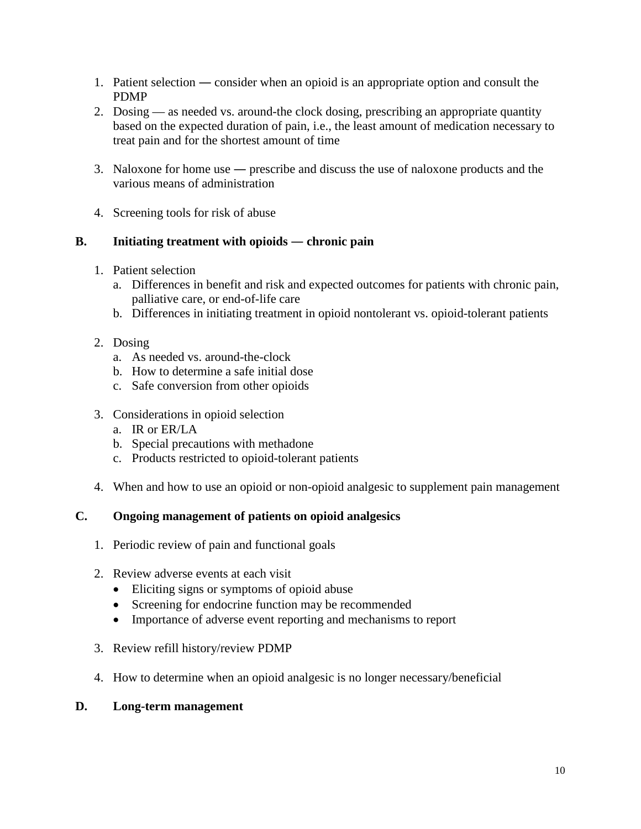- 1. Patient selection ― consider when an opioid is an appropriate option and consult the PDMP
- 2. Dosing as needed vs. around-the clock dosing, prescribing an appropriate quantity based on the expected duration of pain, i.e., the least amount of medication necessary to treat pain and for the shortest amount of time
- 3. Naloxone for home use ― prescribe and discuss the use of naloxone products and the various means of administration
- 4. Screening tools for risk of abuse

### **B. Initiating treatment with opioids ― chronic pain**

- 1. Patient selection
	- a. Differences in benefit and risk and expected outcomes for patients with chronic pain, palliative care, or end-of-life care
	- b. Differences in initiating treatment in opioid nontolerant vs. opioid-tolerant patients
- 2. Dosing
	- a. As needed vs. around-the-clock
	- b. How to determine a safe initial dose
	- c. Safe conversion from other opioids
- 3. Considerations in opioid selection
	- a. IR or ER/LA
	- b. Special precautions with methadone
	- c. Products restricted to opioid-tolerant patients
- 4. When and how to use an opioid or non-opioid analgesic to supplement pain management

## **C. Ongoing management of patients on opioid analgesics**

- 1. Periodic review of pain and functional goals
- 2. Review adverse events at each visit
	- Eliciting signs or symptoms of opioid abuse
	- Screening for endocrine function may be recommended
	- Importance of adverse event reporting and mechanisms to report
- 3. Review refill history/review PDMP
- 4. How to determine when an opioid analgesic is no longer necessary/beneficial

#### **D. Long-term management**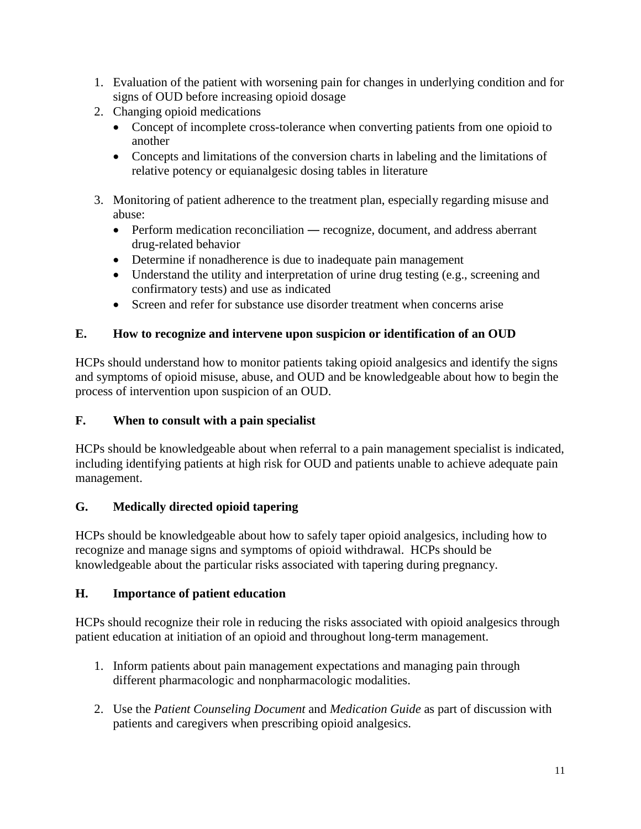- 1. Evaluation of the patient with worsening pain for changes in underlying condition and for signs of OUD before increasing opioid dosage
- 2. Changing opioid medications
	- Concept of incomplete cross-tolerance when converting patients from one opioid to another
	- Concepts and limitations of the conversion charts in labeling and the limitations of relative potency or equianalgesic dosing tables in literature
- 3. Monitoring of patient adherence to the treatment plan, especially regarding misuse and abuse:
	- Perform medication reconciliation recognize, document, and address aberrant drug-related behavior
	- Determine if nonadherence is due to inadequate pain management
	- Understand the utility and interpretation of urine drug testing (e.g., screening and confirmatory tests) and use as indicated
	- Screen and refer for substance use disorder treatment when concerns arise

# **E. How to recognize and intervene upon suspicion or identification of an OUD**

HCPs should understand how to monitor patients taking opioid analgesics and identify the signs and symptoms of opioid misuse, abuse, and OUD and be knowledgeable about how to begin the process of intervention upon suspicion of an OUD.

# **F. When to consult with a pain specialist**

HCPs should be knowledgeable about when referral to a pain management specialist is indicated, including identifying patients at high risk for OUD and patients unable to achieve adequate pain management.

# **G. Medically directed opioid tapering**

HCPs should be knowledgeable about how to safely taper opioid analgesics, including how to recognize and manage signs and symptoms of opioid withdrawal. HCPs should be knowledgeable about the particular risks associated with tapering during pregnancy.

## **H. Importance of patient education**

HCPs should recognize their role in reducing the risks associated with opioid analgesics through patient education at initiation of an opioid and throughout long-term management.

- 1. Inform patients about pain management expectations and managing pain through different pharmacologic and nonpharmacologic modalities.
- 2. Use the *Patient Counseling Document* and *Medication Guide* as part of discussion with patients and caregivers when prescribing opioid analgesics.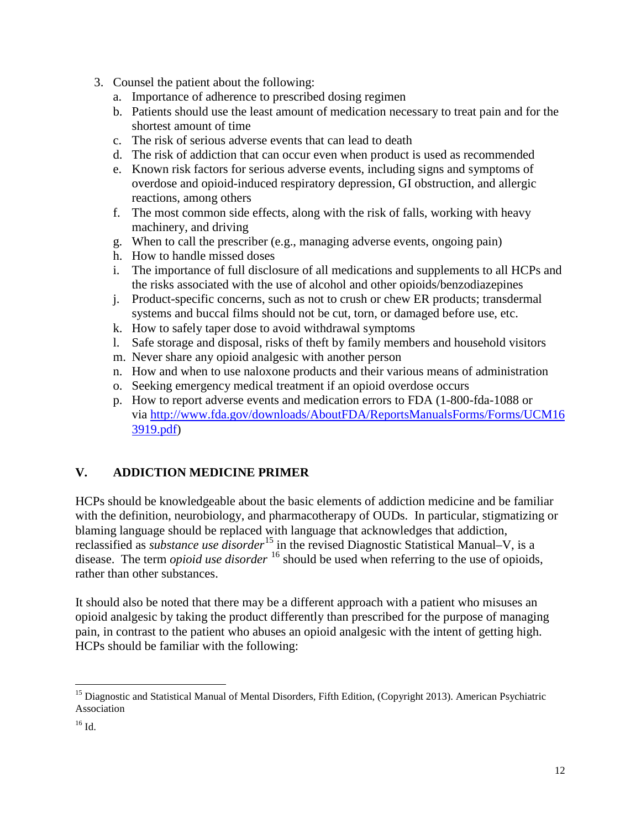- 3. Counsel the patient about the following:
	- a. Importance of adherence to prescribed dosing regimen
	- b. Patients should use the least amount of medication necessary to treat pain and for the shortest amount of time
	- c. The risk of serious adverse events that can lead to death
	- d. The risk of addiction that can occur even when product is used as recommended
	- e. Known risk factors for serious adverse events, including signs and symptoms of overdose and opioid-induced respiratory depression, GI obstruction, and allergic reactions, among others
	- f. The most common side effects, along with the risk of falls, working with heavy machinery, and driving
	- g. When to call the prescriber (e.g., managing adverse events, ongoing pain)
	- h. How to handle missed doses
	- i. The importance of full disclosure of all medications and supplements to all HCPs and the risks associated with the use of alcohol and other opioids/benzodiazepines
	- j. Product-specific concerns, such as not to crush or chew ER products; transdermal systems and buccal films should not be cut, torn, or damaged before use, etc.
	- k. How to safely taper dose to avoid withdrawal symptoms
	- l. Safe storage and disposal, risks of theft by family members and household visitors
	- m. Never share any opioid analgesic with another person
	- n. How and when to use naloxone products and their various means of administration
	- o. Seeking emergency medical treatment if an opioid overdose occurs
	- p. How to report adverse events and medication errors to FDA (1-800-fda-1088 or via [http://www.fda.gov/downloads/AboutFDA/ReportsManualsForms/Forms/UCM16](http://www.fda.gov/downloads/AboutFDA/ReportsManualsForms/Forms/UCM163919.pdf) [3919.pdf\)](http://www.fda.gov/downloads/AboutFDA/ReportsManualsForms/Forms/UCM163919.pdf)

#### **V. ADDICTION MEDICINE PRIMER**

HCPs should be knowledgeable about the basic elements of addiction medicine and be familiar with the definition, neurobiology, and pharmacotherapy of OUDs. In particular, stigmatizing or blaming language should be replaced with language that acknowledges that addiction, reclassified as *substance use disorder*[15](#page-11-0) in the revised Diagnostic Statistical Manual–V, is a disease. The term *opioid use disorder* <sup>[16](#page-11-1)</sup> should be used when referring to the use of opioids, rather than other substances.

It should also be noted that there may be a different approach with a patient who misuses an opioid analgesic by taking the product differently than prescribed for the purpose of managing pain, in contrast to the patient who abuses an opioid analgesic with the intent of getting high. HCPs should be familiar with the following:

<span id="page-11-0"></span><sup>&</sup>lt;sup>15</sup> Diagnostic and Statistical Manual of Mental Disorders, Fifth Edition, (Copyright 2013). American Psychiatric Association

<span id="page-11-1"></span><sup>16</sup> Id.